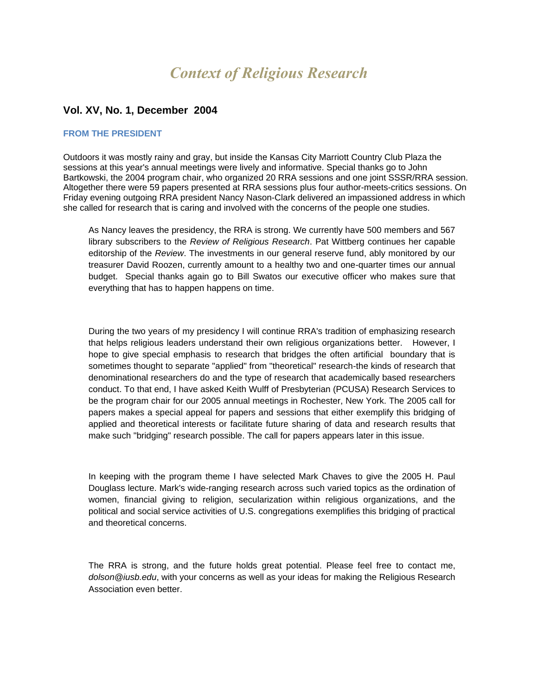# *Context of Religious Research*

# **Vol. XV, No. 1, December 2004**

#### **FROM THE PRESIDENT**

Outdoors it was mostly rainy and gray, but inside the Kansas City Marriott Country Club Plaza the sessions at this year's annual meetings were lively and informative. Special thanks go to John Bartkowski, the 2004 program chair, who organized 20 RRA sessions and one joint SSSR/RRA session. Altogether there were 59 papers presented at RRA sessions plus four author-meets-critics sessions. On Friday evening outgoing RRA president Nancy Nason-Clark delivered an impassioned address in which she called for research that is caring and involved with the concerns of the people one studies.

As Nancy leaves the presidency, the RRA is strong. We currently have 500 members and 567 library subscribers to the *Review of Religious Research*. Pat Wittberg continues her capable editorship of the *Review*. The investments in our general reserve fund, ably monitored by our treasurer David Roozen, currently amount to a healthy two and one-quarter times our annual budget. Special thanks again go to Bill Swatos our executive officer who makes sure that everything that has to happen happens on time.

During the two years of my presidency I will continue RRA's tradition of emphasizing research that helps religious leaders understand their own religious organizations better. However, I hope to give special emphasis to research that bridges the often artificial boundary that is sometimes thought to separate "applied" from "theoretical" research-the kinds of research that denominational researchers do and the type of research that academically based researchers conduct. To that end, I have asked Keith Wulff of Presbyterian (PCUSA) Research Services to be the program chair for our 2005 annual meetings in Rochester, New York. The 2005 call for papers makes a special appeal for papers and sessions that either exemplify this bridging of applied and theoretical interests or facilitate future sharing of data and research results that make such "bridging" research possible. The call for papers appears later in this issue.

In keeping with the program theme I have selected Mark Chaves to give the 2005 H. Paul Douglass lecture. Mark's wide-ranging research across such varied topics as the ordination of women, financial giving to religion, secularization within religious organizations, and the political and social service activities of U.S. congregations exemplifies this bridging of practical and theoretical concerns.

The RRA is strong, and the future holds great potential. Please feel free to contact me, *dolson@iusb.edu*, with your concerns as well as your ideas for making the Religious Research Association even better.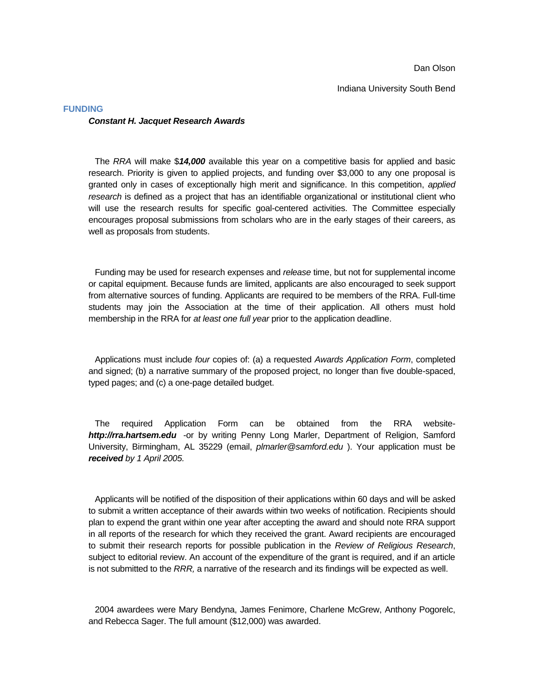Dan Olson

Indiana University South Bend

# **FUNDING** *Constant H. Jacquet Research Awards*

The *RRA* will make \$*14,000* available this year on a competitive basis for applied and basic research. Priority is given to applied projects, and funding over \$3,000 to any one proposal is granted only in cases of exceptionally high merit and significance. In this competition, *applied research* is defined as a project that has an identifiable organizational or institutional client who will use the research results for specific goal-centered activities. The Committee especially encourages proposal submissions from scholars who are in the early stages of their careers, as well as proposals from students.

Funding may be used for research expenses and *release* time, but not for supplemental income or capital equipment. Because funds are limited, applicants are also encouraged to seek support from alternative sources of funding. Applicants are required to be members of the RRA. Full-time students may join the Association at the time of their application. All others must hold membership in the RRA for *at least one full year* prior to the application deadline.

Applications must include *four* copies of: (a) a requested *Awards Application Form*, completed and signed; (b) a narrative summary of the proposed project, no longer than five double-spaced, typed pages; and (c) a one-page detailed budget.

The required Application Form can be obtained from the RRA website*[http://rra.hartsem.edu](http://rra.hartsem.edu/)* -or by writing Penny Long Marler, Department of Religion, Samford University, Birmingham, AL 35229 (email, *[plmarler@samford.edu](mailto:plmarler@samford.edu)* ). Your application must be *received by 1 April 2005.*

Applicants will be notified of the disposition of their applications within 60 days and will be asked to submit a written acceptance of their awards within two weeks of notification. Recipients should plan to expend the grant within one year after accepting the award and should note RRA support in all reports of the research for which they received the grant. Award recipients are encouraged to submit their research reports for possible publication in the *Review of Religious Research*, subject to editorial review. An account of the expenditure of the grant is required, and if an article is not submitted to the *RRR,* a narrative of the research and its findings will be expected as well.

2004 awardees were Mary Bendyna, James Fenimore, Charlene McGrew, Anthony Pogorelc, and Rebecca Sager. The full amount (\$12,000) was awarded.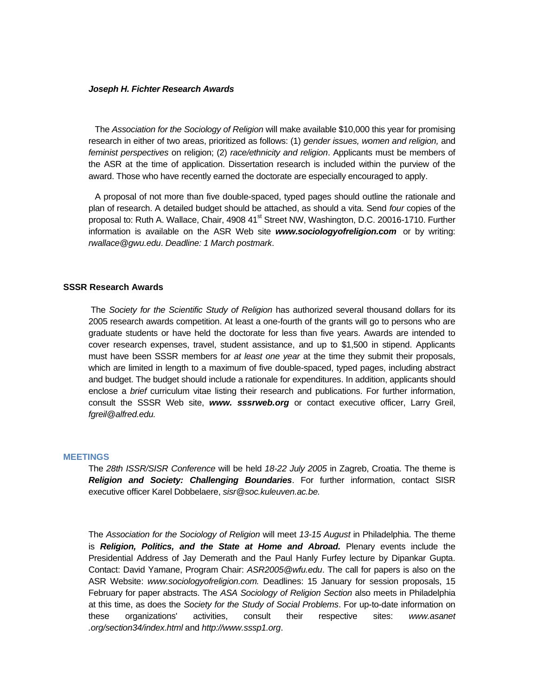#### *Joseph H. Fichter Research Awards*

The *Association for the Sociology of Religion* will make available \$10,000 this year for promising research in either of two areas, prioritized as follows: (1) *gender issues, women and religion,* and *feminist perspectives* on religion; (2) *race/ethnicity and religion*. Applicants must be members of the ASR at the time of application. Dissertation research is included within the purview of the award. Those who have recently earned the doctorate are especially encouraged to apply.

A proposal of not more than five double-spaced, typed pages should outline the rationale and plan of research. A detailed budget should be attached, as should a vita. Send *four* copies of the proposal to: Ruth A. Wallace, Chair, 4908 41<sup>st</sup> Street NW, Washington, D.C. 20016-1710. Further information is available on the ASR Web site *[www.sociologyofreligion.com](http://www.sociologyofreligion.com/)* or by writing: *[rwallace@gwu.edu](mailto:rwallace@gwu.edu)*. *Deadline: 1 March postmark*.

#### **SSSR Research Awards**

The *Society for the Scientific Study of Religion* has authorized several thousand dollars for its 2005 research awards competition. At least a one-fourth of the grants will go to persons who are graduate students or have held the doctorate for less than five years. Awards are intended to cover research expenses, travel, student assistance, and up to \$1,500 in stipend. Applicants must have been SSSR members for *at least one year* at the time they submit their proposals, which are limited in length to a maximum of five double-spaced, typed pages, including abstract and budget. The budget should include a rationale for expenditures. In addition, applicants should enclose a *brief* curriculum vitae listing their research and publications. For further information, consult the SSSR Web site, *www. sssrweb.org* or contact executive officer, Larry Greil, *fgreil@alfred.edu.*

#### **MEETINGS**

The *28th ISSR/SISR Conference* will be held *18-22 July 2005* in Zagreb, Croatia. The theme is *Religion and Society: Challenging Boundaries*. For further information, contact SISR executive officer Karel Dobbelaere, *sisr@soc.kuleuven.ac.be.*

The *Association for the Sociology of Religion* will meet *13-15 August* in Philadelphia. The theme is *Religion, Politics, and the State at Home and Abroad.* Plenary events include the Presidential Address of Jay Demerath and the Paul Hanly Furfey lecture by Dipankar Gupta. Contact: David Yamane, Program Chair: *ASR2005@wfu.edu*. The call for papers is also on the ASR Website: *www.sociologyofreligion.com.* Deadlines: 15 January for session proposals, 15 February for paper abstracts. The *ASA Sociology of Religion Section* also meets in Philadelphia at this time, as does the *Society for the Study of Social Problems*. For up-to-date information on these organizations' activities, consult their respective sites: *www.asanet .org/section34/index.html* and *http://www.sssp1.org*.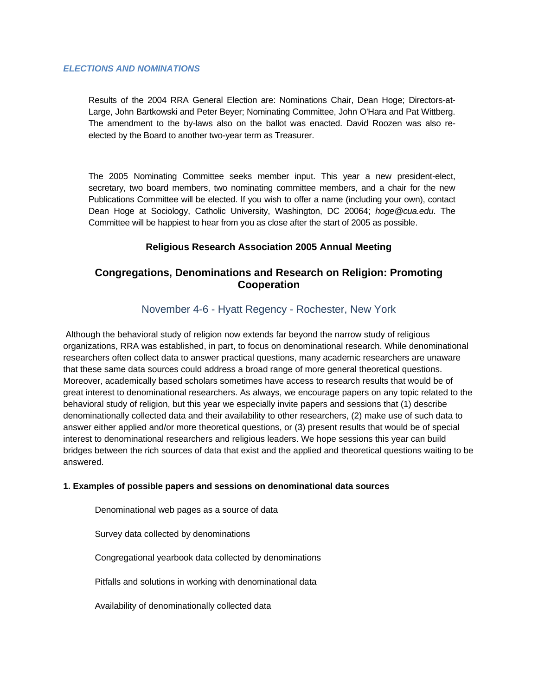## *ELECTIONS AND NOMINATIONS*

Results of the 2004 RRA General Election are: Nominations Chair, Dean Hoge; Directors-at-Large, John Bartkowski and Peter Beyer; Nominating Committee, John O'Hara and Pat Wittberg. The amendment to the by-laws also on the ballot was enacted. David Roozen was also reelected by the Board to another two-year term as Treasurer.

The 2005 Nominating Committee seeks member input. This year a new president-elect, secretary, two board members, two nominating committee members, and a chair for the new Publications Committee will be elected. If you wish to offer a name (including your own), contact Dean Hoge at Sociology, Catholic University, Washington, DC 20064; *hoge@cua.edu*. The Committee will be happiest to hear from you as close after the start of 2005 as possible.

# **Religious Research Association 2005 Annual Meeting**

# **Congregations, Denominations and Research on Religion: Promoting Cooperation**

# November 4-6 - Hyatt Regency - Rochester, New York

Although the behavioral study of religion now extends far beyond the narrow study of religious organizations, RRA was established, in part, to focus on denominational research. While denominational researchers often collect data to answer practical questions, many academic researchers are unaware that these same data sources could address a broad range of more general theoretical questions. Moreover, academically based scholars sometimes have access to research results that would be of great interest to denominational researchers. As always, we encourage papers on any topic related to the behavioral study of religion, but this year we especially invite papers and sessions that (1) describe denominationally collected data and their availability to other researchers, (2) make use of such data to answer either applied and/or more theoretical questions, or (3) present results that would be of special interest to denominational researchers and religious leaders. We hope sessions this year can build bridges between the rich sources of data that exist and the applied and theoretical questions waiting to be answered.

## **1. Examples of possible papers and sessions on denominational data sources**

Denominational web pages as a source of data

Survey data collected by denominations

Congregational yearbook data collected by denominations

Pitfalls and solutions in working with denominational data

Availability of denominationally collected data